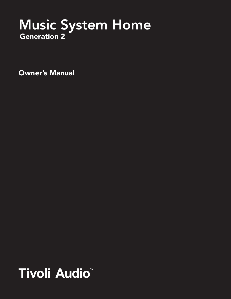# Music System Home

Owner's Manual

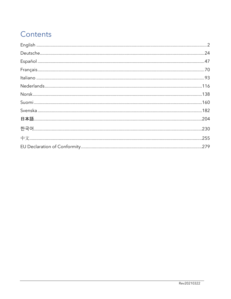# Contents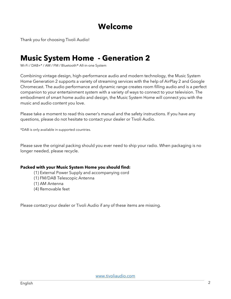# Welcome

Thank you for choosing Tivoli Audio!

# Music System Home - Generation 2

Wi-Fi / DAB+\* / AM / FM / Bluetooth® All-in-one System

Combining vintage design, high-performance audio and modern technology, the Music System Home Generation 2 supports a variety of streaming services with the help of AirPlay 2 and Google Chromecast. The audio performance and dynamic range creates room filling audio and is a perfect companion to your entertainment system with a variety of ways to connect to your television. The embodiment of smart home audio and design, the Music System Home will connect you with the music and audio content you love.

Please take a moment to read this owner's manual and the safety instructions. If you have any questions, please do not hesitate to contact your dealer or Tivoli Audio.

\*DAB is only available in supported countries.

Please save the original packing should you ever need to ship your radio. When packaging is no longer needed, please recycle.

#### Packed with your Music System Home you should find:

- (1) External Power Supply and accompanying cord
- (1) FM/DAB Telescopic Antenna
- (1) AM Antenna
- (4) Removable feet

Please contact your dealer or Tivoli Audio if any of these items are missing.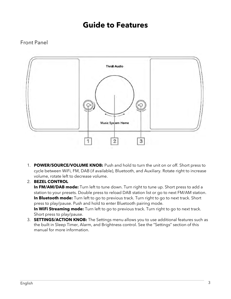# Guide to Features

# Front Panel



1. POWER/SOURCE/VOLUME KNOB: Push and hold to turn the unit on or off. Short press to cycle between WiFi, FM, DAB (if available), Bluetooth, and Auxiliary. Rotate right to increase volume, rotate left to decrease volume.

#### 2. BEZEL CONTROL

In FM/AM/DAB mode: Turn left to tune down. Turn right to tune up. Short press to add a station to your presets. Double press to reload DAB station list or go to next FM/AM station. In Bluetooth mode: Turn left to go to previous track. Turn right to go to next track. Short press to play/pause. Push and hold to enter Bluetooth pairing mode. In WiFi Streaming mode: Turn left to go to previous track. Turn right to go to next track. Short press to play/pause.

3. **SETTINGS/ACTION KNOB:** The Settings menu allows you to use additional features such as the built in Sleep Timer, Alarm, and Brightness control. See the "Settings" section of this manual for more information.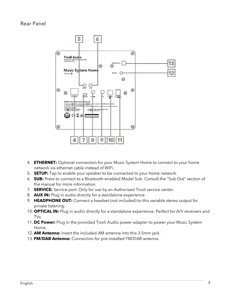Rear Panel



- 4. **ETHERNET:** Optional connection for your Music System Home to connect to your home network via ethernet cable instead of WiFi.
- 5. **SETUP:** Tap to enable your speaker to be connected to your home network.
- 6. SUB: Press to connect to a Bluetooth-enabled Model Sub. Consult the "Sub Out" section of the manual for more information.
- 7. **SERVICE:** Service port. Only for use by an Authorized Tivoli service center.
- 8. **AUX IN:** Plug in audio directly for a standalone experience.
- 9. HEADPHONE OUT: Connect a headset (not included) to this variable stereo output for private listening.
- 10. **OPTICAL IN:** Plug in audio directly for a standalone experience. Perfect for A/V receivers and TVs.
- 11. DC Power: Plug in the provided Tivoli Audio power adapter to power your Music System Home.
- 12. AM Antenna: Insert the included AM antenna into this 3.5mm jack.
- 13. FM/DAB Antenna: Connection for pre-installed FM/DAB antenna.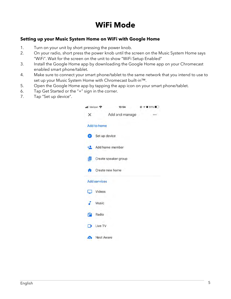# WiFi Mode

#### Setting up your Music System Home on WiFi with Google Home

- 1. Turn on your unit by short pressing the power knob.
- 2. On your radio, short press the power knob until the screen on the Music System Home says "WiFi". Wait for the screen on the unit to show "WiFi Setup Enabled"
- 3. Install the Google Home app by downloading the Google Home app on your Chromecast enabled smart phone/tablet.
- 4. Make sure to connect your smart phone/tablet to the same network that you intend to use to set up your Music System Home with Chromecast built-in™.
- 5. Open the Google Home app by tapping the app icon on your smart phone/tablet.
- 6. Tap Get Started or the "+" sign in the corner.
- 7. Tap "Set up device".

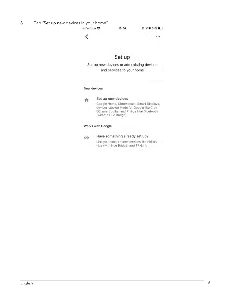- 8. Tap "Set up new devices in your home".
	- 10:54

 $@ 4051\%$ 

 $\cdots$ 

≺

# Set up

Set up new devices or add existing devices and services to your home

#### New devices



Set up new devices

Google Home, Chromecast, Smart Displays, devices labeled Made for Google like C by GE smart bulbs, and Philips Hue Bluetooth (without Hue Bridge)

#### Works with Google

GD

#### Have something already set up?

Link your smart home services like Philips Hue (with Hue Bridge) and TP-Link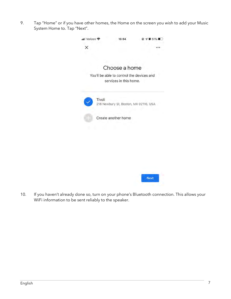9. Tap "Home" or if you have other homes, the Home on the screen you wish to add your Music System Home to. Tap "Next".





10. If you haven't already done so, turn on your phone's Bluetooth connection. This allows your WiFi information to be sent reliably to the speaker.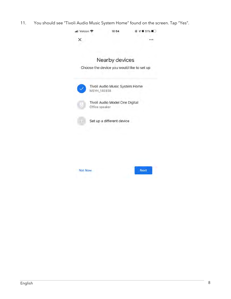11. You should see "Tivoli Audio Music System Home" found on the screen. Tap "Yes".

| Verizon * |                | 10:54                          |                                            |
|-----------|----------------|--------------------------------|--------------------------------------------|
|           |                |                                |                                            |
|           |                | Nearby devices                 |                                            |
|           |                |                                | Choose the device you would like to set up |
|           | MSYH_14E938    |                                | Tivoli Audio Music System Home             |
|           | Office speaker | Tivoli Audio Model One Digital |                                            |
|           |                | Set up a different device      |                                            |
|           |                |                                |                                            |

Not Now

Next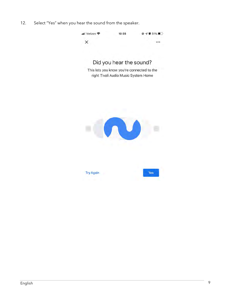12. Select "Yes" when you hear the sound from the speaker.

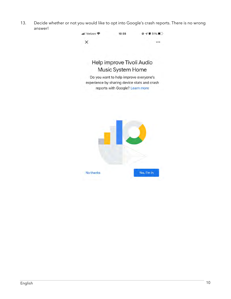13. Decide whether or not you would like to opt into Google's crash reports. There is no wrong answer!

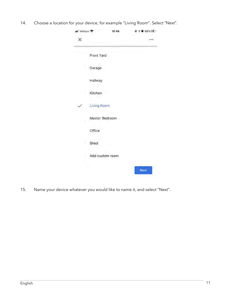14. Choose a location for your device, for example "Living Room". Select "Next".

| ull Verizon 중 | 16:46              | $Q \not\in \mathbf{0}$ 68% |
|---------------|--------------------|----------------------------|
| x             |                    |                            |
|               | Front Yard         |                            |
|               | Garage             |                            |
|               | Hallway            |                            |
|               | Kitchen            |                            |
|               | <b>Living Room</b> |                            |
|               | Master Bedroom     |                            |
|               | Office             |                            |
|               | Shed               |                            |
|               | Add custom room    |                            |
|               |                    | Next                       |

15. Name your device whatever you would like to name it, and select "Next".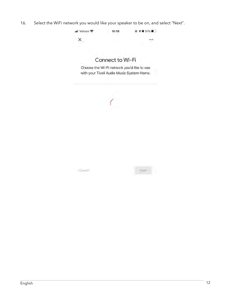16. Select the WiFi network you would like your speaker to be on, and select "Next".



# Connect to Wi-Fi

Choose the Wi-Fi network you'd like to use with your Tivoli Audio Music System Home.

|               | ۹<br>-63 |             |                |
|---------------|----------|-------------|----------------|
|               |          |             |                |
|               |          |             |                |
| <b>Cancel</b> |          | Weit!<br>a. | <b>COMPANY</b> |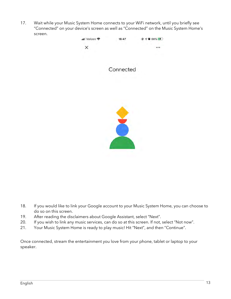17. Wait while your Music System Home connects to your WiFi network, until you briefly see "Connected" on your device's screen as well as "Connected" on the Music System Home's screen.



- 18. If you would like to link your Google account to your Music System Home, you can choose to do so on this screen.
- 19. After reading the disclaimers about Google Assistant, select "Next".
- 20. If you wish to link any music services, can do so at this screen. If not, select "Not now".
- 21. Your Music System Home is ready to play music! Hit "Next", and then "Continue".

Once connected, stream the entertainment you love from your phone, tablet or laptop to your speaker.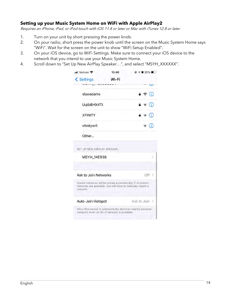#### Setting up your Music System Home on WiFi with Apple AirPlay2

Requires an iPhone, iPad, or iPod touch with iOS 11.4 or later or Mac with iTunes 12.8 or later

- 1. Turn on your unit by short pressing the power knob.
- 2. On your radio, short press the power knob until the screen on the Music System Home says "WiFi". Wait for the screen on the unit to show "WiFi Setup Enabled".
- 3. On your iOS device, go to WiFi Settings. Make sure to connect your iOS device to the network that you intend to use your Music System Home.
- 4. Scroll down to "Set Up New AirPlay Speaker…", and select "MSYH\_XXXXXX".

| ull Verizon 중                                                                                                                      | 10:40 | $Q \leq 0.55\%$                         |
|------------------------------------------------------------------------------------------------------------------------------------|-------|-----------------------------------------|
| < Settings                                                                                                                         | Wi-Fi |                                         |
| $\cdots$                                                                                                                           |       |                                         |
| slowadams                                                                                                                          |       | $\mathbf{a} \in (i)$                    |
| UqtbBHX4Tt                                                                                                                         |       | $\hat{=}$ $\hat{=}$ $\hat{=}$ $\hat{=}$ |
| <b>XFINITY</b>                                                                                                                     |       | $\mathbf{A} \in \mathbf{I}$             |
| xfinitywifi                                                                                                                        |       | $\widehat{\mathcal{F}}$ (i)             |
| Other                                                                                                                              |       |                                         |
| SET UP NEW AIRPLAY SPEAKER                                                                                                         |       |                                         |
| <b>MSYH 14E938</b>                                                                                                                 |       |                                         |
| Ask to Join Networks                                                                                                               |       | $Off$ $>$                               |
| Known networks will be joined automatically. If no known<br>networks are available, you will have to manually select a<br>network. |       |                                         |
| Auto-Join Hotspot                                                                                                                  |       | Ask to Join                             |
| Allow this device to automatically discover nearby personal<br>hotspots when no WI-Fi network is available.                        |       |                                         |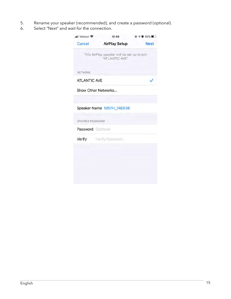- 5. Rename your speaker (recommended), and create a password (optional).
- 6. Select "Next" and wait for the connection.

| Cancel              | <b>AirPlay Setup</b><br>This AirPlay speaker will be set up to join<br>"ATLANTIC AVE". | <b>Next</b> |
|---------------------|----------------------------------------------------------------------------------------|-------------|
|                     |                                                                                        |             |
|                     |                                                                                        |             |
| <b>NETWORK</b>      |                                                                                        |             |
| <b>ATLANTIC AVE</b> |                                                                                        |             |
| Show Other Networks |                                                                                        |             |
|                     |                                                                                        |             |
|                     | Speaker Name MSYH_14E938                                                               |             |
| SPEAKER PASSWORD    |                                                                                        |             |
| Password Optional   |                                                                                        |             |
| Verify              | Verify Passworth                                                                       |             |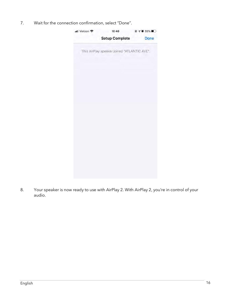7. Wait for the connection confirmation, select "Done".



8. Your speaker is now ready to use with AirPlay 2. With AirPlay 2, you're in control of your audio.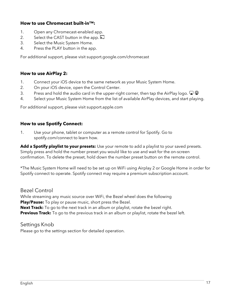#### How to use Chromecast built-in™:

- 1. Open any Chromecast-enabled app.
- 2. Select the CAST button in the app.  $\overline{3}$
- 3. Select the Music System Home.
- 4. Press the PLAY button in the app.

For additional support, please visit support.google.com/chromecast

#### How to use AirPlay 2:

- 1. Connect your iOS device to the same network as your Music System Home.
- 2. On your iOS device, open the Control Center.
- 3. Press and hold the audio card in the upper-right corner, then tap the AirPlay logo.  $\Box$
- 4. Select your Music System Home from the list of available AirPlay devices, and start playing.

For additional support, please visit support.apple.com

#### How to use Spotify Connect:

1. Use your phone, tablet or computer as a remote control for Spotify. Go to spotify.com/connect to learn how.

Add a Spotify playlist to your presets: Use your remote to add a playlist to your saved presets. Simply press and hold the number preset you would like to use and wait for the on-screen confirmation. To delete the preset, hold down the number preset button on the remote control.

\*The Music System Home will need to be set up on WiFi using Airplay 2 or Google Home in order for Spotify connect to operate. Spotify connect may require a premium subscription account.

## Bezel Control

While streaming any music source over WiFi, the Bezel wheel does the following Play/Pause: To play or pause music, short press the Bezel. Next Track: To go to the next track in an album or playlist, rotate the bezel right. **Previous Track:** To go to the previous track in an album or playlist, rotate the bezel left.

# Settings Knob

Please go to the settings section for detailed operation.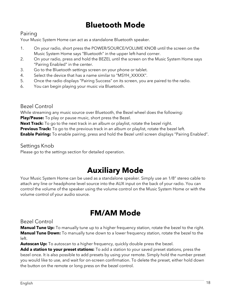# Bluetooth Mode

# Pairing

Your Music System Home can act as a standalone Bluetooth speaker.

- 1. On your radio, short press the POWER/SOURCE/VOLUME KNOB until the screen on the Music System Home says "Bluetooth" in the upper left-hand corner.
- 2. On your radio, press and hold the BEZEL until the screen on the Music System Home says "Pairing Enabled" in the center.
- 3. Go to the Bluetooth settings screen on your phone or tablet.
- 4. Select the device that has a name similar to "MSYH\_XXXXX".
- 5. Once the radio displays "Pairing Success" on its screen, you are paired to the radio.
- 6. You can begin playing your music via Bluetooth.

## Bezel Control

While streaming any music source over Bluetooth, the Bezel wheel does the following:

Play/Pause: To play or pause music, short press the Bezel.

**Next Track:** To go to the next track in an album or playlist, rotate the bezel right.

**Previous Track:** To go to the previous track in an album or playlist, rotate the bezel left.

**Enable Pairing:** To enable pairing, press and hold the Bezel until screen displays "Pairing Enabled".

#### Settings Knob

Please go to the settings section for detailed operation.

# Auxiliary Mode

Your Music System Home can be used as a standalone speaker. Simply use an 1/8" stereo cable to attach any line or headphone level source into the AUX input on the back of your radio. You can control the volume of the speaker using the volume control on the Music System Home or with the volume control of your audio source.

# FM/AM Mode

## Bezel Control

**Manual Tune Up:** To manually tune up to a higher frequency station, rotate the bezel to the right. **Manual Tune Down:** To manually tune down to a lower frequency station, rotate the bezel to the left.

Autoscan Up: To autoscan to a higher frequency, quickly double press the bezel.

Add a station to your preset stations: To add a station to your saved preset stations, press the bezel once. It is also possible to add presets by using your remote. Simply hold the number preset you would like to use, and wait for on-screen confirmation. To delete the preset, either hold down the button on the remote or long press on the bezel control.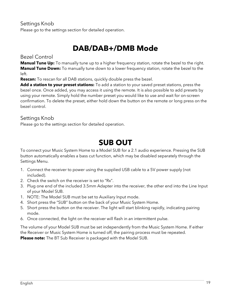# Settings Knob

Please go to the settings section for detailed operation.

# DAB/DAB+/DMB Mode

## Bezel Control

**Manual Tune Up:** To manually tune up to a higher frequency station, rotate the bezel to the right. **Manual Tune Down:** To manually tune down to a lower frequency station, rotate the bezel to the left.

**Rescan:** To rescan for all DAB stations, quickly double press the bezel.

Add a station to your preset stations: To add a station to your saved preset stations, press the bezel once. Once added, you may access it using the remote. It is also possible to add presets by using your remote. Simply hold the number preset you would like to use and wait for on-screen confirmation. To delete the preset, either hold down the button on the remote or long press on the bezel control.

## Settings Knob

Please go to the settings section for detailed operation.

# SUB OUT

To connect your Music System Home to a Model SUB for a 2.1 audio experience. Pressing the SUB button automatically enables a bass cut function, which may be disabled separately through the Settings Menu.

- 1. Connect the receiver to power using the supplied USB cable to a 5V power supply (not included).
- 2. Check the switch on the receiver is set to "Rx".
- 3. Plug one end of the included 3.5mm Adapter into the receiver, the other end into the Line Input of your Model SUB.
- 1. NOTE: The Model SUB must be set to Auxiliary Input mode.
- 4. Short press the "SUB" button on the back of your Music System Home.
- 5. Short press the button on the receiver. The light will start blinking rapidly, indicating pairing mode.
- 6. Once connected, the light on the receiver will flash in an intermittent pulse.

The volume of your Model SUB must be set independently from the Music System Home. If either the Receiver or Music System Home is turned off, the pairing process must be repeated. Please note: The BT Sub Receiver is packaged with the Model SUB.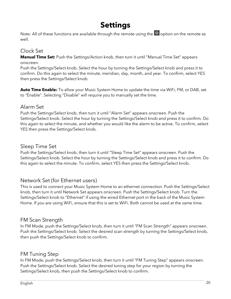# Settings

Note: All of these functions are available through the remote using the  $\heartsuit$  option on the remote as well.

## Clock Set

Manual Time Set: Push the Settings/Action knob, then turn it until "Manual Time Set" appears onscreen.

Push the Settings/Select knob. Select the hour by turning the Settings/Select knob and press it to confirm. Do this again to select the minute, meridian, day, month, and year. To confirm, select YES then press the Settings/Select knob.

**Auto Time Enable:** To allow your Music System Home to update the time via WiFi, FM, or DAB, set to "Enable". Selecting "Disable" will require you to manually set the time.

## Alarm Set

Push the Settings/Select knob, then turn it until "Alarm Set" appears onscreen. Push the Settings/Select knob. Select the hour by turning the Settings/Select knob and press it to confirm. Do this again to select the minute, and whether you would like the alarm to be active. To confirm, select YES then press the Settings/Select knob.

## Sleep Time Set

Push the Settings/Select knob, then turn it until "Sleep Time Set" appears onscreen. Push the Settings/Select knob. Select the hour by turning the Settings/Select knob and press it to confirm. Do this again to select the minute. To confirm, select YES then press the Settings/Select knob.

## Network Set (for Ethernet users)

This is used to connect your Music System Home to an ethernet connection. Push the Settings/Select knob, then turn it until Network Set appears onscreen. Push the Settings/Select knob. Turn the Settings/Select knob to "Ethernet" if using the wired Ethernet port in the back of the Music System Home. If you are using WiFi, ensure that this is set to WiFi. Both cannot be used at the same time.

## FM Scan Strength

In FM Mode, push the Settings/Select knob, then turn it until "FM Scan Strength" appears onscreen. Push the Settings/Select knob. Select the desired scan strength by turning the Settings/Select knob, then push the Settings/Select knob to confirm.

# FM Tuning Step

In FM Mode, push the Settings/Select knob, then turn it until "FM Tuning Step" appears onscreen. Push the Settings/Select knob. Select the desired tuning step for your region by turning the Settings/Select knob, then push the Settings/Select knob to confirm.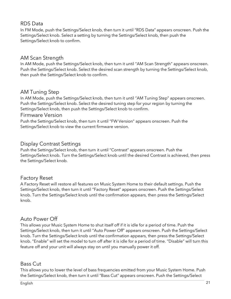# RDS Data

In FM Mode, push the Settings/Select knob, then turn it until "RDS Data" appears onscreen. Push the Settings/Select knob. Select a setting by turning the Settings/Select knob, then push the Settings/Select knob to confirm.

# AM Scan Strength

In AM Mode, push the Settings/Select knob, then turn it until "AM Scan Strength" appears onscreen. Push the Settings/Select knob. Select the desired scan strength by turning the Settings/Select knob, then push the Settings/Select knob to confirm.

# AM Tuning Step

In AM Mode, push the Settings/Select knob, then turn it until "AM Tuning Step" appears onscreen. Push the Settings/Select knob. Select the desired tuning step for your region by turning the Settings/Select knob, then push the Settings/Select knob to confirm.

## Firmware Version

Push the Settings/Select knob, then turn it until "FW Version" appears onscreen. Push the Settings/Select knob to view the current firmware version.

# Display Contrast Settings

Push the Settings/Select knob, then turn it until "Contrast" appears onscreen. Push the Settings/Select knob. Turn the Settings/Select knob until the desired Contrast is achieved, then press the Settings/Select knob.

# Factory Reset

A Factory Reset will restore all features on Music System Home to their default settings. Push the Settings/Select knob, then turn it until "Factory Reset" appears onscreen. Push the Settings/Select knob. Turn the Settings/Select knob until the confirmation appears, then press the Settings/Select knob.

# Auto Power Off

This allows your Music System Home to shut itself off if it is idle for a period of time. Push the Settings/Select knob, then turn it until "Auto Power Off" appears onscreen. Push the Settings/Select knob. Turn the Settings/Select knob until the confirmation appears, then press the Settings/Select knob. "Enable" will set the model to turn off after it is idle for a period of time. "Disable" will turn this feature off and your unit will always stay on until you manually power it off.

# Bass Cut

This allows you to lower the level of bass frequencies emitted from your Music System Home. Push the Settings/Select knob, then turn it until "Bass Cut" appears onscreen. Push the Settings/Select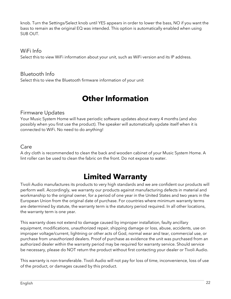knob. Turn the Settings/Select knob until YES appears in order to lower the bass, NO if you want the bass to remain as the original EQ was intended. This option is automatically enabled when using SUB OUT.

## WiFi Info

Select this to view WiFi information about your unit, such as WiFi version and its IP address.

## Bluetooth Info

Select this to view the Bluetooth firmware information of your unit

# Other Information

## Firmware Updates

Your Music System Home will have periodic software updates about every 4 months (and also possibly when you first use the product). The speaker will automatically update itself when it is connected to WiFi. No need to do anything!

## Care

A dry cloth is recommended to clean the back and wooden cabinet of your Music System Home. A lint roller can be used to clean the fabric on the front. Do not expose to water.

# Limited Warranty

Tivoli Audio manufactures its products to very high standards and we are confident our products will perform well. Accordingly, we warranty our products against manufacturing defects in material and workmanship to the original owner, for a period of one year in the United States and two years in the European Union from the original date of purchase. For countries where minimum warranty terms are determined by statute, the warranty term is the statutory period required. In all other locations, the warranty term is one year.

This warranty does not extend to damage caused by improper installation, faulty ancillary equipment, modifications, unauthorized repair, shipping damage or loss, abuse, accidents, use on improper voltage/current, lightning or other acts of God, normal wear and tear, commercial use, or purchase from unauthorized dealers. Proof of purchase as evidence the unit was purchased from an authorized dealer within the warranty period may be required for warranty service. Should service be necessary, please do NOT return the product without first contacting your dealer or Tivoli Audio.

This warranty is non-transferable. Tivoli Audio will not pay for loss of time, inconvenience, loss of use of the product, or damages caused by this product.